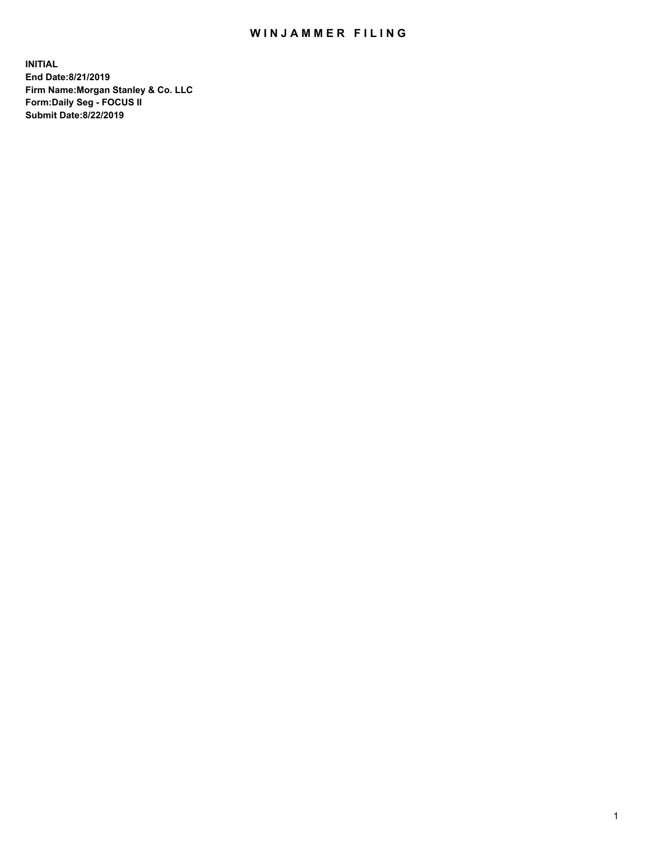## WIN JAMMER FILING

**INITIAL End Date:8/21/2019 Firm Name:Morgan Stanley & Co. LLC Form:Daily Seg - FOCUS II Submit Date:8/22/2019**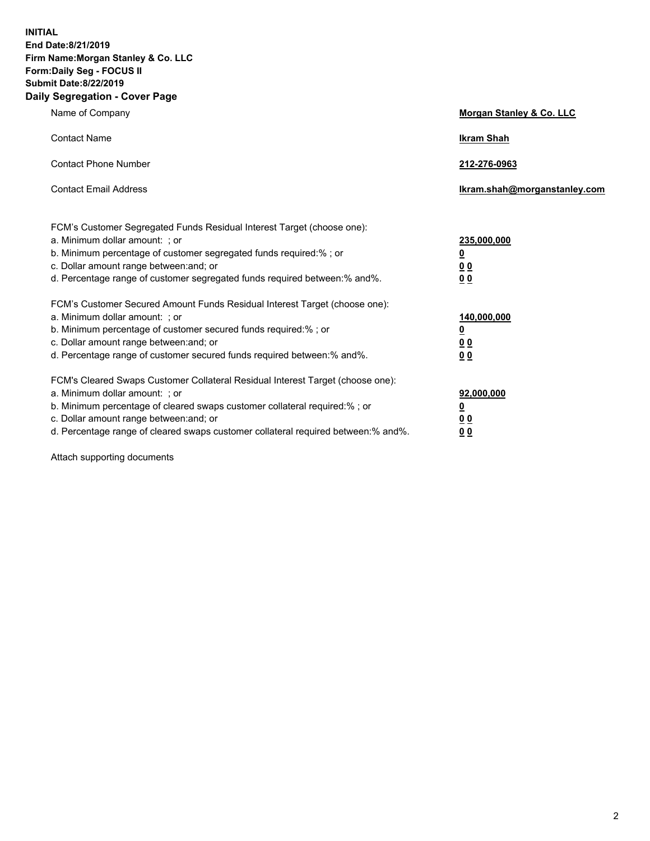**INITIAL End Date:8/21/2019 Firm Name:Morgan Stanley & Co. LLC Form:Daily Seg - FOCUS II Submit Date:8/22/2019 Daily Segregation - Cover Page**

| Name of Company                                                                                                                                                                                                                                                                                                                | Morgan Stanley & Co. LLC                                    |
|--------------------------------------------------------------------------------------------------------------------------------------------------------------------------------------------------------------------------------------------------------------------------------------------------------------------------------|-------------------------------------------------------------|
| <b>Contact Name</b>                                                                                                                                                                                                                                                                                                            | <b>Ikram Shah</b>                                           |
| <b>Contact Phone Number</b>                                                                                                                                                                                                                                                                                                    | 212-276-0963                                                |
| <b>Contact Email Address</b>                                                                                                                                                                                                                                                                                                   | Ikram.shah@morganstanley.com                                |
| FCM's Customer Segregated Funds Residual Interest Target (choose one):<br>a. Minimum dollar amount: ; or<br>b. Minimum percentage of customer segregated funds required:% ; or<br>c. Dollar amount range between: and; or<br>d. Percentage range of customer segregated funds required between:% and%.                         | 235,000,000<br><u>0</u><br>0 <sub>0</sub><br>0 <sub>0</sub> |
| FCM's Customer Secured Amount Funds Residual Interest Target (choose one):<br>a. Minimum dollar amount: ; or<br>b. Minimum percentage of customer secured funds required:%; or<br>c. Dollar amount range between: and; or<br>d. Percentage range of customer secured funds required between:% and%.                            | 140,000,000<br><u>0</u><br>0 <sub>0</sub><br>0 <sub>0</sub> |
| FCM's Cleared Swaps Customer Collateral Residual Interest Target (choose one):<br>a. Minimum dollar amount: ; or<br>b. Minimum percentage of cleared swaps customer collateral required:% ; or<br>c. Dollar amount range between: and; or<br>d. Percentage range of cleared swaps customer collateral required between:% and%. | 92,000,000<br><u>0</u><br><u>00</u><br>0 <sub>0</sub>       |

Attach supporting documents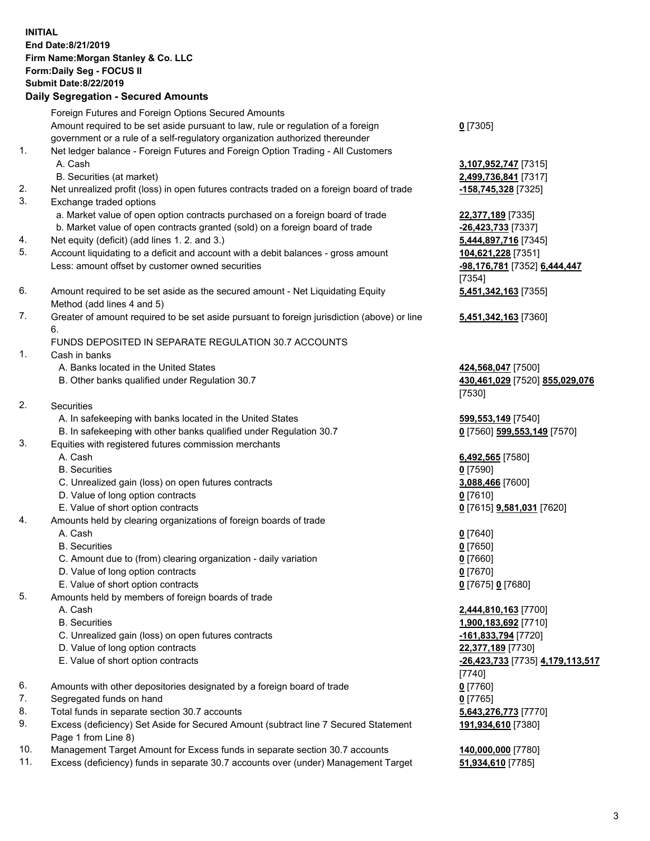## **INITIAL End Date:8/21/2019 Firm Name:Morgan Stanley & Co. LLC Form:Daily Seg - FOCUS II Submit Date:8/22/2019 Daily Segregation - Secured Amounts**

Foreign Futures and Foreign Options Secured Amounts Amount required to be set aside pursuant to law, rule or regulation of a foreign government or a rule of a self-regulatory organization authorized thereunder 1. Net ledger balance - Foreign Futures and Foreign Option Trading - All Customers A. Cash **3,107,952,747** [7315] B. Securities (at market) **2,499,736,841** [7317] 2. Net unrealized profit (loss) in open futures contracts traded on a foreign board of trade **-158,745,328** [7325] 3. Exchange traded options a. Market value of open option contracts purchased on a foreign board of trade **22,377,189** [7335] b. Market value of open contracts granted (sold) on a foreign board of trade **-26,423,733** [7337] 4. Net equity (deficit) (add lines 1. 2. and 3.) **5,444,897,716** [7345]

- 5. Account liquidating to a deficit and account with a debit balances gross amount **104,621,228** [7351] Less: amount offset by customer owned securities **-98,176,781** [7352] **6,444,447**
- 6. Amount required to be set aside as the secured amount Net Liquidating Equity Method (add lines 4 and 5)
- 7. Greater of amount required to be set aside pursuant to foreign jurisdiction (above) or line 6.

## FUNDS DEPOSITED IN SEPARATE REGULATION 30.7 ACCOUNTS

- 1. Cash in banks
	- A. Banks located in the United States **424,568,047** [7500]
	- B. Other banks qualified under Regulation 30.7 **430,461,029** [7520] **855,029,076**
- 2. Securities
	- A. In safekeeping with banks located in the United States **599,553,149** [7540]
	- B. In safekeeping with other banks qualified under Regulation 30.7 **0** [7560] **599,553,149** [7570]
- 3. Equities with registered futures commission merchants
	-
	- B. Securities **0** [7590]
	- C. Unrealized gain (loss) on open futures contracts **3,088,466** [7600]
	- D. Value of long option contracts **0** [7610]
- E. Value of short option contracts **0** [7615] **9,581,031** [7620]
- 4. Amounts held by clearing organizations of foreign boards of trade
	- A. Cash **0** [7640]
	- B. Securities **0** [7650]
	- C. Amount due to (from) clearing organization daily variation **0** [7660]
	- D. Value of long option contracts **0** [7670]
	- E. Value of short option contracts **0** [7675] **0** [7680]
- 5. Amounts held by members of foreign boards of trade
	-
	-
	- C. Unrealized gain (loss) on open futures contracts **-161,833,794** [7720]
	- D. Value of long option contracts **22,377,189** [7730]
	- E. Value of short option contracts **-26,423,733** [7735] **4,179,113,517**
- 6. Amounts with other depositories designated by a foreign board of trade **0** [7760]
- 7. Segregated funds on hand **0** [7765]
- 8. Total funds in separate section 30.7 accounts **5,643,276,773** [7770]
- 9. Excess (deficiency) Set Aside for Secured Amount (subtract line 7 Secured Statement Page 1 from Line 8)
- 10. Management Target Amount for Excess funds in separate section 30.7 accounts **140,000,000** [7780]
- 11. Excess (deficiency) funds in separate 30.7 accounts over (under) Management Target **51,934,610** [7785]

**0** [7305]

[7354] **5,451,342,163** [7355]

**5,451,342,163** [7360]

[7530]

A. Cash **6,492,565** [7580]

 A. Cash **2,444,810,163** [7700] B. Securities **1,900,183,692** [7710] [7740] **191,934,610** [7380]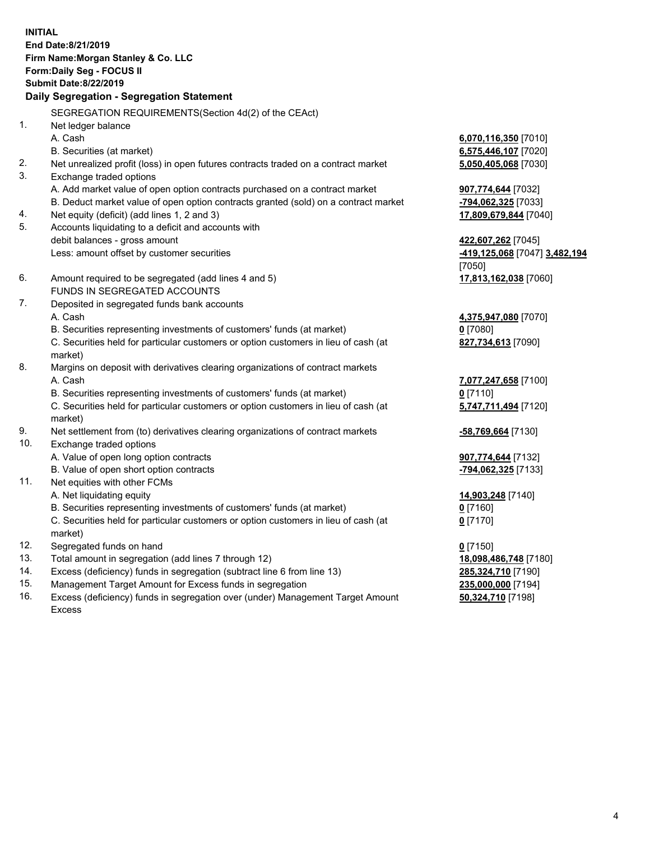**INITIAL End Date:8/21/2019 Firm Name:Morgan Stanley & Co. LLC Form:Daily Seg - FOCUS II Submit Date:8/22/2019 Daily Segregation - Segregation Statement** SEGREGATION REQUIREMENTS(Section 4d(2) of the CEAct) 1. Net ledger balance A. Cash **6,070,116,350** [7010] B. Securities (at market) **6,575,446,107** [7020] 2. Net unrealized profit (loss) in open futures contracts traded on a contract market **5,050,405,068** [7030] 3. Exchange traded options A. Add market value of open option contracts purchased on a contract market **907,774,644** [7032] B. Deduct market value of open option contracts granted (sold) on a contract market **-794,062,325** [7033] 4. Net equity (deficit) (add lines 1, 2 and 3) **17,809,679,844** [7040] 5. Accounts liquidating to a deficit and accounts with debit balances - gross amount **422,607,262** [7045] Less: amount offset by customer securities **-419,125,068** [7047] **3,482,194** [7050] 6. Amount required to be segregated (add lines 4 and 5) **17,813,162,038** [7060] FUNDS IN SEGREGATED ACCOUNTS 7. Deposited in segregated funds bank accounts A. Cash **4,375,947,080** [7070] B. Securities representing investments of customers' funds (at market) **0** [7080] C. Securities held for particular customers or option customers in lieu of cash (at market) **827,734,613** [7090] 8. Margins on deposit with derivatives clearing organizations of contract markets A. Cash **7,077,247,658** [7100] B. Securities representing investments of customers' funds (at market) **0** [7110] C. Securities held for particular customers or option customers in lieu of cash (at market) **5,747,711,494** [7120] 9. Net settlement from (to) derivatives clearing organizations of contract markets **-58,769,664** [7130] 10. Exchange traded options A. Value of open long option contracts **907,774,644** [7132] B. Value of open short option contracts **-794,062,325** [7133] 11. Net equities with other FCMs A. Net liquidating equity **14,903,248** [7140] B. Securities representing investments of customers' funds (at market) **0** [7160] C. Securities held for particular customers or option customers in lieu of cash (at market) **0** [7170] 12. Segregated funds on hand **0** [7150] 13. Total amount in segregation (add lines 7 through 12) **18,098,486,748** [7180] 14. Excess (deficiency) funds in segregation (subtract line 6 from line 13) **285,324,710** [7190]

- 15. Management Target Amount for Excess funds in segregation **235,000,000** [7194]
- 16. Excess (deficiency) funds in segregation over (under) Management Target Amount Excess

**50,324,710** [7198]